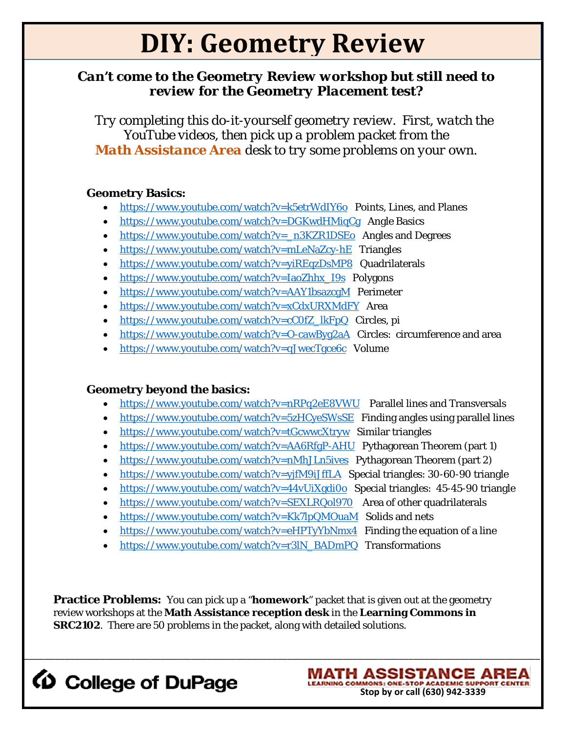# **DIY: Geometry Review**

### *Can't come to the Geometry Review workshop but still need to review for the Geometry Placement test?*

 *Try completing this do-it-yourself geometry review. First, watch the YouTube videos, then pick up a problem packet from the Math Assistance Area desk to try some problems on your own.*

#### **Geometry Basics:**

- <https://www.youtube.com/watch?v=k5etrWdIY6o>Points, Lines, and Planes
- <https://www.youtube.com/watch?v=DGKwdHMiqCg>Angle Basics
- [https://www.youtube.com/watch?v=\\_n3KZR1DSEo](https://www.youtube.com/watch?v=_n3KZR1DSEo) Angles and Degrees
- <https://www.youtube.com/watch?v=mLeNaZcy-hE>Triangles
- <https://www.youtube.com/watch?v=yiREqzDsMP8>Quadrilaterals
- [https://www.youtube.com/watch?v=IaoZhhx\\_I9s](https://www.youtube.com/watch?v=IaoZhhx_I9s) Polygons
- <https://www.youtube.com/watch?v=AAY1bsazcgM>Perimeter
- <https://www.youtube.com/watch?v=xCdxURXMdFY>Area
- [https://www.youtube.com/watch?v=cC0fZ\\_lkFpQ](https://www.youtube.com/watch?v=cC0fZ_lkFpQ) Circles, pi
- <https://www.youtube.com/watch?v=O-cawByg2aA>Circles: circumference and area
- <https://www.youtube.com/watch?v=qJwecTgce6c>Volume

#### **Geometry beyond the basics:**

- <https://www.youtube.com/watch?v=nRPq2eE8VWU>Parallel lines and Transversals
- <https://www.youtube.com/watch?v=5zHCyeSWsSE>Finding angles using parallel lines
- <https://www.youtube.com/watch?v=tGcwwcXtryw>Similar triangles
- <https://www.youtube.com/watch?v=AA6RfgP-AHU>Pythagorean Theorem (part 1)
- <https://www.youtube.com/watch?v=nMhJLn5ives>Pythagorean Theorem (part 2)
- <https://www.youtube.com/watch?v=yjfM9iJffLA>Special triangles: 30-60-90 triangle
- <https://www.youtube.com/watch?v=44vUiXgdi0o>Special triangles: 45-45-90 triangle
- <https://www.youtube.com/watch?v=SEXLRQol970>Area of other quadrilaterals
- <https://www.youtube.com/watch?v=Kk7lpQMOuaM>Solids and nets
- <https://www.youtube.com/watch?v=eHPTyYbNmx4>Finding the equation of a line
- [https://www.youtube.com/watch?v=r3lN\\_BADmPQ](https://www.youtube.com/watch?v=r3lN_BADmPQ) Transformations

**Practice Problems:** You can pick up a "**homework**" packet that is given out at the geometry review workshops at the **Math Assistance reception desk** in the **Learning Commons in SRC2102**. There are 50 problems in the packet, along with detailed solutions.

\_\_\_\_\_\_\_\_\_\_\_\_\_\_\_\_\_\_\_\_\_\_\_\_\_\_\_\_\_\_\_\_\_\_\_\_\_\_\_\_\_\_\_\_\_\_\_\_\_\_\_\_\_\_\_\_\_\_\_\_\_\_\_\_\_\_\_\_\_\_\_\_\_\_\_\_\_\_\_\_\_\_\_\_\_\_\_\_\_\_\_\_\_\_\_\_\_\_\_\_\_\_